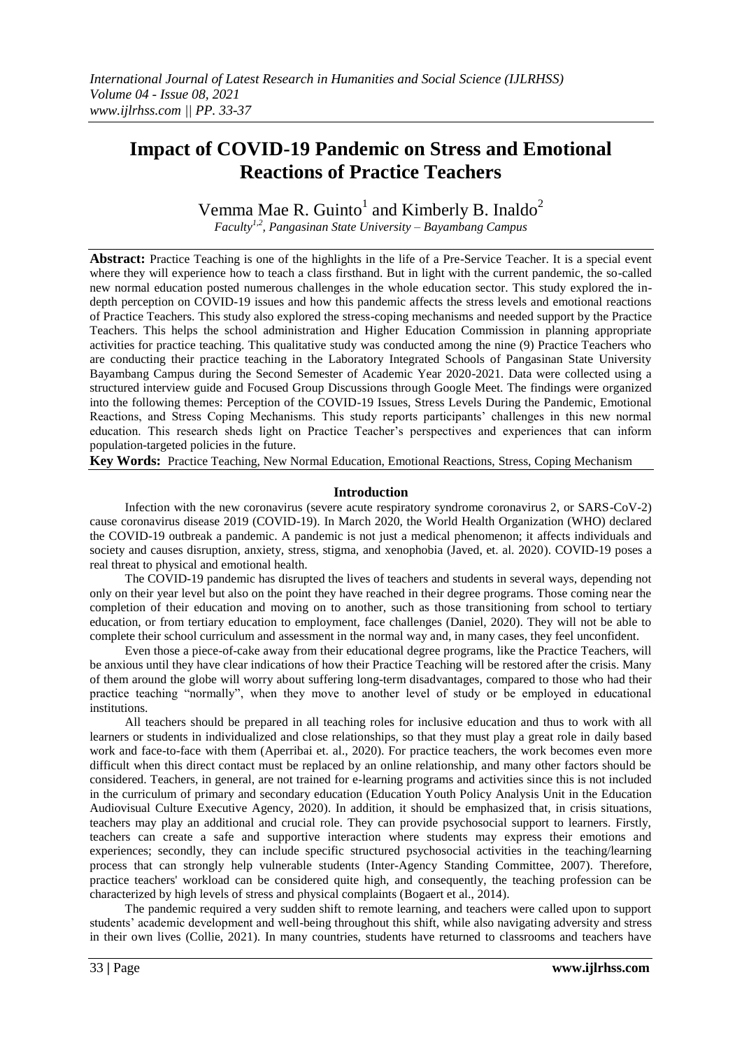# **Impact of COVID-19 Pandemic on Stress and Emotional Reactions of Practice Teachers**

Vemma Mae R. Guinto<sup>1</sup> and Kimberly B. Inaldo<sup>2</sup> *Faculty1,2, Pangasinan State University – Bayambang Campus*

**Abstract:** Practice Teaching is one of the highlights in the life of a Pre-Service Teacher. It is a special event where they will experience how to teach a class firsthand. But in light with the current pandemic, the so-called new normal education posted numerous challenges in the whole education sector. This study explored the indepth perception on COVID-19 issues and how this pandemic affects the stress levels and emotional reactions of Practice Teachers. This study also explored the stress-coping mechanisms and needed support by the Practice Teachers. This helps the school administration and Higher Education Commission in planning appropriate activities for practice teaching. This qualitative study was conducted among the nine (9) Practice Teachers who are conducting their practice teaching in the Laboratory Integrated Schools of Pangasinan State University Bayambang Campus during the Second Semester of Academic Year 2020-2021. Data were collected using a structured interview guide and Focused Group Discussions through Google Meet. The findings were organized into the following themes: Perception of the COVID-19 Issues, Stress Levels During the Pandemic, Emotional Reactions, and Stress Coping Mechanisms. This study reports participants' challenges in this new normal education. This research sheds light on Practice Teacher's perspectives and experiences that can inform population-targeted policies in the future.

**Key Words:** Practice Teaching, New Normal Education, Emotional Reactions, Stress, Coping Mechanism

# **Introduction**

Infection with the new coronavirus (severe acute respiratory syndrome coronavirus 2, or SARS-CoV-2) cause coronavirus disease 2019 (COVID-19). In March 2020, the World Health Organization (WHO) declared the COVID-19 outbreak a pandemic. A pandemic is not just a medical phenomenon; it affects individuals and society and causes disruption, anxiety, stress, stigma, and xenophobia (Javed, et. al. 2020). COVID-19 poses a real threat to physical and emotional health.

The COVID-19 pandemic has disrupted the lives of teachers and students in several ways, depending not only on their year level but also on the point they have reached in their degree programs. Those coming near the completion of their education and moving on to another, such as those transitioning from school to tertiary education, or from tertiary education to employment, face challenges (Daniel, 2020). They will not be able to complete their school curriculum and assessment in the normal way and, in many cases, they feel unconfident.

Even those a piece-of-cake away from their educational degree programs, like the Practice Teachers, will be anxious until they have clear indications of how their Practice Teaching will be restored after the crisis. Many of them around the globe will worry about suffering long-term disadvantages, compared to those who had their practice teaching "normally", when they move to another level of study or be employed in educational institutions.

All teachers should be prepared in all teaching roles for inclusive education and thus to work with all learners or students in individualized and close relationships, so that they must play a great role in daily based work and face-to-face with them (Aperribai et. al., 2020). For practice teachers, the work becomes even more difficult when this direct contact must be replaced by an online relationship, and many other factors should be considered. Teachers, in general, are not trained for e-learning programs and activities since this is not included in the curriculum of primary and secondary education [\(Education Youth Policy Analysis Unit in the Education](https://www.frontiersin.org/articles/10.3389/fpsyg.2020.577886/full#B14)  [Audiovisual Culture Executive Agency, 2020\)](https://www.frontiersin.org/articles/10.3389/fpsyg.2020.577886/full#B14). In addition, it should be emphasized that, in crisis situations, teachers may play an additional and crucial role. They can provide psychosocial support to learners. Firstly, teachers can create a safe and supportive interaction where students may express their emotions and experiences; secondly, they can include specific structured psychosocial activities in the teaching/learning process that can strongly help vulnerable students [\(Inter-Agency Standing Committee, 2007\)](https://www.frontiersin.org/articles/10.3389/fpsyg.2020.577886/full#B17). Therefore, practice teachers' workload can be considered quite high, and consequently, the teaching profession can be characterized by high levels of stress and physical complaints [\(Bogaert et al., 2014\)](https://www.frontiersin.org/articles/10.3389/fpsyg.2020.577886/full#B5).

The pandemic required a very sudden shift to remote learning, and teachers were called upon to support students' academic development and well-being throughout this shift, while also navigating adversity and stress in their own lives (Collie, 2021). In many countries, students have returned to classrooms and teachers have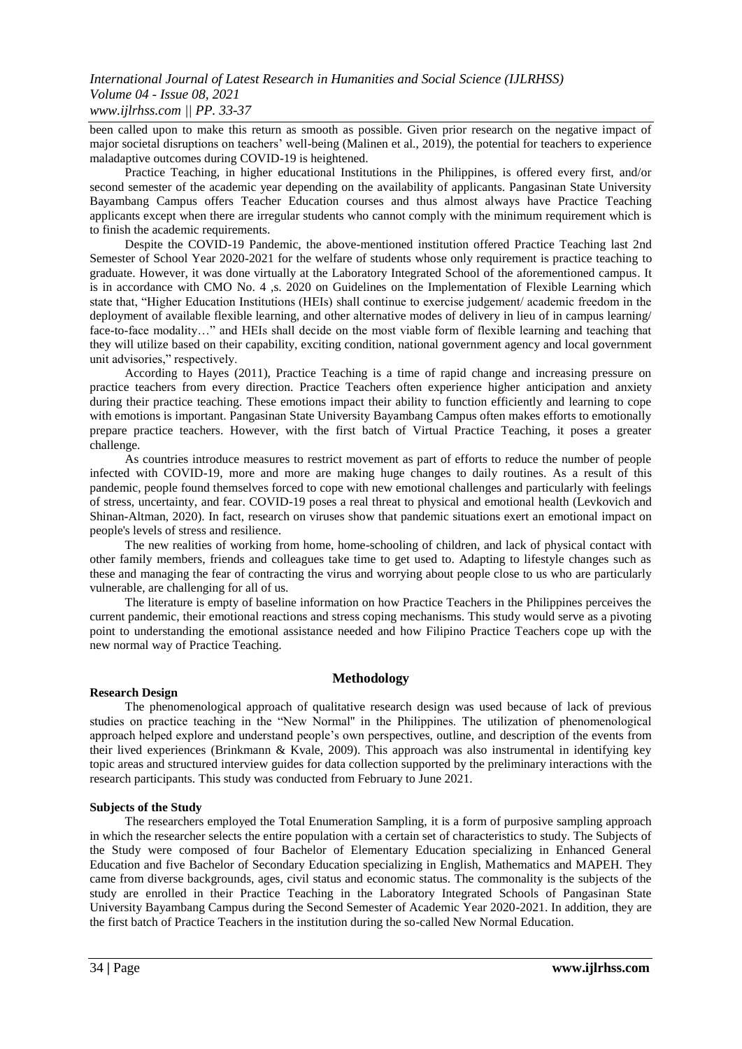been called upon to make this return as smooth as possible. Given prior research on the negative impact of major societal disruptions on teachers' well-being [\(Malinen et al., 2019\)](https://journals.sagepub.com/doi/10.1177/2332858420986187), the potential for teachers to experience maladaptive outcomes during COVID-19 is heightened.

Practice Teaching, in higher educational Institutions in the Philippines, is offered every first, and/or second semester of the academic year depending on the availability of applicants. Pangasinan State University Bayambang Campus offers Teacher Education courses and thus almost always have Practice Teaching applicants except when there are irregular students who cannot comply with the minimum requirement which is to finish the academic requirements.

Despite the COVID-19 Pandemic, the above-mentioned institution offered Practice Teaching last 2nd Semester of School Year 2020-2021 for the welfare of students whose only requirement is practice teaching to graduate. However, it was done virtually at the Laboratory Integrated School of the aforementioned campus. It is in accordance with CMO No. 4 ,s. 2020 on Guidelines on the Implementation of Flexible Learning which state that, "Higher Education Institutions (HEIs) shall continue to exercise judgement/ academic freedom in the deployment of available flexible learning, and other alternative modes of delivery in lieu of in campus learning/ face-to-face modality…" and HEIs shall decide on the most viable form of flexible learning and teaching that they will utilize based on their capability, exciting condition, national government agency and local government unit advisories," respectively.

According to Hayes (2011), Practice Teaching is a time of rapid change and increasing pressure on practice teachers from every direction. Practice Teachers often experience higher anticipation and anxiety during their practice teaching. These emotions impact their ability to function efficiently and learning to cope with emotions is important. Pangasinan State University Bayambang Campus often makes efforts to emotionally prepare practice teachers. However, with the first batch of Virtual Practice Teaching, it poses a greater challenge.

As countries introduce measures to restrict movement as part of efforts to reduce the number of people infected with COVID-19, more and more are making huge changes to daily routines. As a result of this pandemic, people found themselves forced to cope with new emotional challenges and particularly with feelings of stress, uncertainty, and fear. COVID-19 poses a real threat to physical and emotional health (Levkovich and Shinan-Altman, 2020). In fact, research on viruses show that pandemic situations exert an emotional impact on people's levels of stress and resilience.

The new realities of working from home, home-schooling of children, and lack of physical contact with other family members, friends and colleagues take time to get used to. Adapting to lifestyle changes such as these and managing the fear of contracting the virus and worrying about people close to us who are particularly vulnerable, are challenging for all of us.

The literature is empty of baseline information on how Practice Teachers in the Philippines perceives the current pandemic, their emotional reactions and stress coping mechanisms. This study would serve as a pivoting point to understanding the emotional assistance needed and how Filipino Practice Teachers cope up with the new normal way of Practice Teaching.

# **Methodology**

# **Research Design**

The phenomenological approach of qualitative research design was used because of lack of previous studies on practice teaching in the "New Normal'' in the Philippines. The utilization of phenomenological approach helped explore and understand people's own perspectives, outline, and description of the events from their lived experiences (Brinkmann & Kvale, 2009). This approach was also instrumental in identifying key topic areas and structured interview guides for data collection supported by the preliminary interactions with the research participants. This study was conducted from February to June 2021.

# **Subjects of the Study**

The researchers employed the Total Enumeration Sampling, it is a form of purposive sampling approach in which the researcher selects the entire population with a certain set of characteristics to study. The Subjects of the Study were composed of four Bachelor of Elementary Education specializing in Enhanced General Education and five Bachelor of Secondary Education specializing in English, Mathematics and MAPEH. They came from diverse backgrounds, ages, civil status and economic status. The commonality is the subjects of the study are enrolled in their Practice Teaching in the Laboratory Integrated Schools of Pangasinan State University Bayambang Campus during the Second Semester of Academic Year 2020-2021. In addition, they are the first batch of Practice Teachers in the institution during the so-called New Normal Education.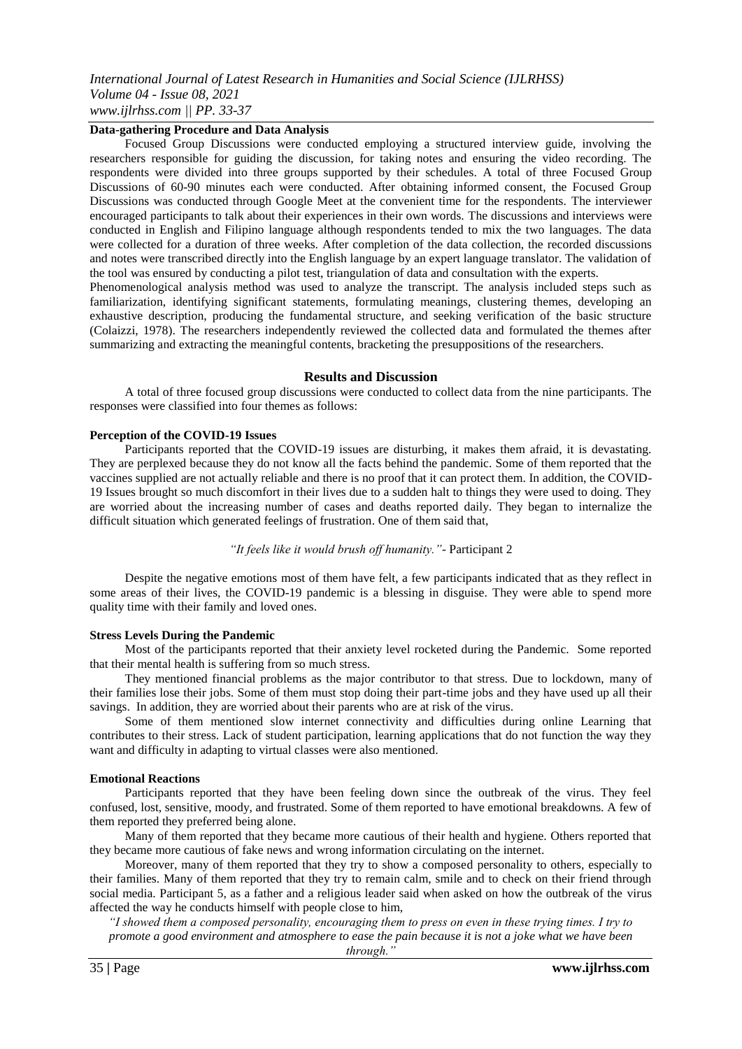# **Data-gathering Procedure and Data Analysis**

Focused Group Discussions were conducted employing a structured interview guide, involving the researchers responsible for guiding the discussion, for taking notes and ensuring the video recording. The respondents were divided into three groups supported by their schedules. A total of three Focused Group Discussions of 60-90 minutes each were conducted. After obtaining informed consent, the Focused Group Discussions was conducted through Google Meet at the convenient time for the respondents. The interviewer encouraged participants to talk about their experiences in their own words. The discussions and interviews were conducted in English and Filipino language although respondents tended to mix the two languages. The data were collected for a duration of three weeks. After completion of the data collection, the recorded discussions and notes were transcribed directly into the English language by an expert language translator. The validation of the tool was ensured by conducting a pilot test, triangulation of data and consultation with the experts.

Phenomenological analysis method was used to analyze the transcript. The analysis included steps such as familiarization, identifying significant statements, formulating meanings, clustering themes, developing an exhaustive description, producing the fundamental structure, and seeking verification of the basic structure (Colaizzi, 1978). The researchers independently reviewed the collected data and formulated the themes after summarizing and extracting the meaningful contents, bracketing the presuppositions of the researchers.

#### **Results and Discussion**

A total of three focused group discussions were conducted to collect data from the nine participants. The responses were classified into four themes as follows:

#### **Perception of the COVID-19 Issues**

Participants reported that the COVID-19 issues are disturbing, it makes them afraid, it is devastating. They are perplexed because they do not know all the facts behind the pandemic. Some of them reported that the vaccines supplied are not actually reliable and there is no proof that it can protect them. In addition, the COVID-19 Issues brought so much discomfort in their lives due to a sudden halt to things they were used to doing. They are worried about the increasing number of cases and deaths reported daily. They began to internalize the difficult situation which generated feelings of frustration. One of them said that,

### *"It feels like it would brush off humanity."-* Participant 2

Despite the negative emotions most of them have felt, a few participants indicated that as they reflect in some areas of their lives, the COVID-19 pandemic is a blessing in disguise. They were able to spend more quality time with their family and loved ones.

#### **Stress Levels During the Pandemic**

Most of the participants reported that their anxiety level rocketed during the Pandemic. Some reported that their mental health is suffering from so much stress.

They mentioned financial problems as the major contributor to that stress. Due to lockdown, many of their families lose their jobs. Some of them must stop doing their part-time jobs and they have used up all their savings. In addition, they are worried about their parents who are at risk of the virus.

Some of them mentioned slow internet connectivity and difficulties during online Learning that contributes to their stress. Lack of student participation, learning applications that do not function the way they want and difficulty in adapting to virtual classes were also mentioned.

#### **Emotional Reactions**

Participants reported that they have been feeling down since the outbreak of the virus. They feel confused, lost, sensitive, moody, and frustrated. Some of them reported to have emotional breakdowns. A few of them reported they preferred being alone.

Many of them reported that they became more cautious of their health and hygiene. Others reported that they became more cautious of fake news and wrong information circulating on the internet.

Moreover, many of them reported that they try to show a composed personality to others, especially to their families. Many of them reported that they try to remain calm, smile and to check on their friend through social media. Participant 5, as a father and a religious leader said when asked on how the outbreak of the virus affected the way he conducts himself with people close to him,

*"I showed them a composed personality, encouraging them to press on even in these trying times. I try to promote a good environment and atmosphere to ease the pain because it is not a joke what we have been* 

*through."*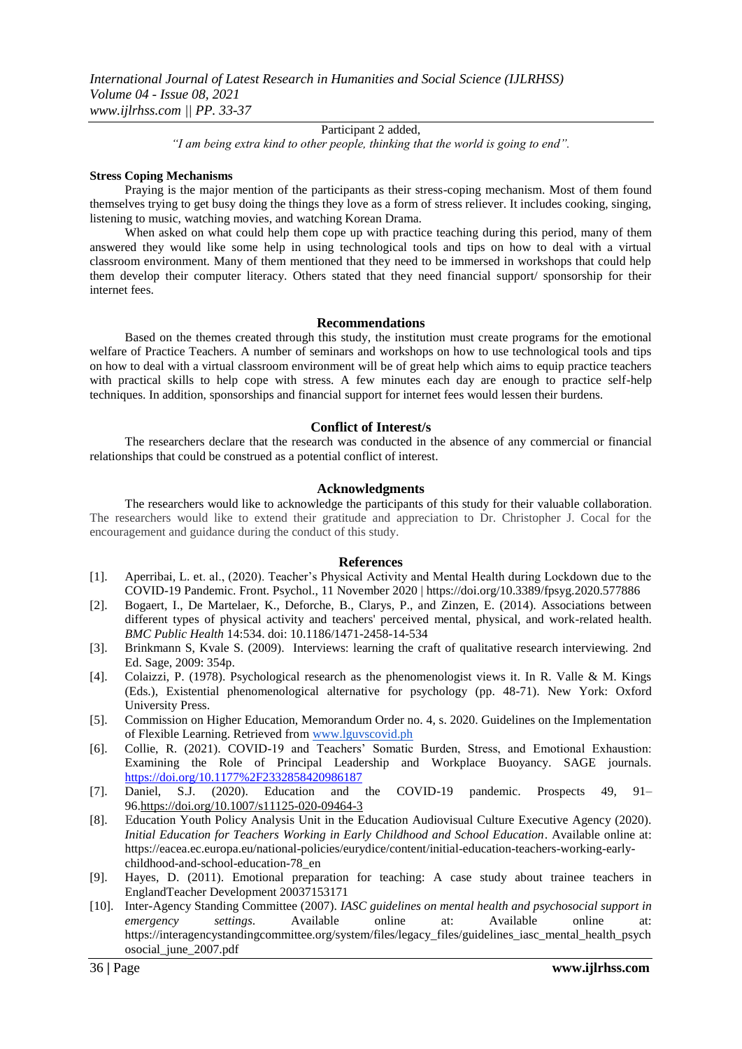Participant 2 added,

*"I am being extra kind to other people, thinking that the world is going to end".*

# **Stress Coping Mechanisms**

Praying is the major mention of the participants as their stress-coping mechanism. Most of them found themselves trying to get busy doing the things they love as a form of stress reliever. It includes cooking, singing, listening to music, watching movies, and watching Korean Drama.

When asked on what could help them cope up with practice teaching during this period, many of them answered they would like some help in using technological tools and tips on how to deal with a virtual classroom environment. Many of them mentioned that they need to be immersed in workshops that could help them develop their computer literacy. Others stated that they need financial support/ sponsorship for their internet fees.

#### **Recommendations**

Based on the themes created through this study, the institution must create programs for the emotional welfare of Practice Teachers. A number of seminars and workshops on how to use technological tools and tips on how to deal with a virtual classroom environment will be of great help which aims to equip practice teachers with practical skills to help cope with stress. A few minutes each day are enough to practice self-help techniques. In addition, sponsorships and financial support for internet fees would lessen their burdens.

# **Conflict of Interest/s**

The researchers declare that the research was conducted in the absence of any commercial or financial relationships that could be construed as a potential conflict of interest.

# **Acknowledgments**

The researchers would like to acknowledge the participants of this study for their valuable collaboration. The researchers would like to extend their gratitude and appreciation to Dr. Christopher J. Cocal for the encouragement and guidance during the conduct of this study.

# **References**

- [1]. Aperribai, L. et. al., (2020). Teacher's Physical Activity and Mental Health during Lockdown due to the COVID-19 Pandemic. Front. Psychol., 11 November 2020 |<https://doi.org/10.3389/fpsyg.2020.577886>
- [2]. Bogaert, I., De Martelaer, K., Deforche, B., Clarys, P., and Zinzen, E. (2014). Associations between different types of physical activity and teachers' perceived mental, physical, and work-related health. *BMC Public Health* 14:534. doi: 10.1186/1471-2458-14-534
- [3]. Brinkmann S, Kvale S. (2009). Interviews: learning the craft of qualitative research interviewing. 2nd Ed. Sage, 2009: 354p.
- [4]. Colaizzi, P. (1978). Psychological research as the phenomenologist views it. In R. Valle & M. Kings (Eds.), Existential phenomenological alternative for psychology (pp. 48-71). New York: Oxford University Press.
- [5]. Commission on Higher Education, Memorandum Order no. 4, s. 2020. Guidelines on the Implementation of Flexible Learning. Retrieved from [www.lguvscovid.ph](http://www.lguvscovid.ph/)
- [6]. Collie, R. (2021). COVID-19 and Teachers' Somatic Burden, Stress, and Emotional Exhaustion: Examining the Role of Principal Leadership and Workplace Buoyancy. SAGE journals. <https://doi.org/10.1177%2F2332858420986187>
- [7]. Daniel, S.J. (2020). Education and the COVID-19 pandemic. Prospects 49, 91– 96[.https://doi.org/10.1007/s11125-020-09464-3](https://doi.org/10.1007/s11125-020-09464-3)
- [8]. Education Youth Policy Analysis Unit in the Education Audiovisual Culture Executive Agency (2020). *Initial Education for Teachers Working in Early Childhood and School Education*. Available online at: [https://eacea.ec.europa.eu/national-policies/eurydice/content/initial-education-teachers-working-early](https://eacea.ec.europa.eu/national-policies/eurydice/content/initial-education-teachers-working-early-childhood-and-school-education-78_en)[childhood-and-school-education-78\\_en](https://eacea.ec.europa.eu/national-policies/eurydice/content/initial-education-teachers-working-early-childhood-and-school-education-78_en)
- [9]. Hayes, D. (2011). Emotional preparation for teaching: A case study about trainee teachers in EnglandTeacher Development 20037153171
- [10]. Inter-Agency Standing Committee (2007). *IASC guidelines on mental health and psychosocial support in emergency settings*. Available online at: Available online at: [https://interagencystandingcommittee.org/system/files/legacy\\_files/guidelines\\_iasc\\_mental\\_health\\_psych](https://interagencystandingcommittee.org/system/files/legacy_files/guidelines_iasc_mental_health_psychosocial_june_2007.pdf) [osocial\\_june\\_2007.pdf](https://interagencystandingcommittee.org/system/files/legacy_files/guidelines_iasc_mental_health_psychosocial_june_2007.pdf)